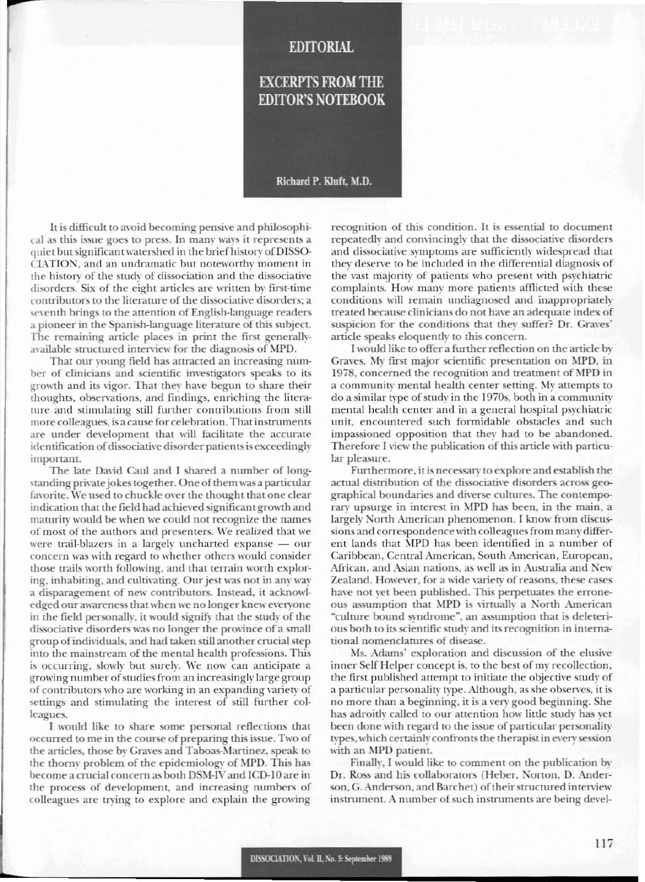### **EDITORIAL**

## **EXCERPTS FROM THE EDITOR'S NOTEBOOK**

#### Richard P. Kluft, M.D.

It is difficult to avoid becoming pensive and philosophical as this issue goes to press. In many ways it represents a quiet but significant watershed in the brief history of DISSO-CIATION, and an undramatic but noteworthy moment in the history of the study of dissociation and the dissociative disorders. Six of the eight articles are written by first-time contributors to the literature of the dissociative disorders; a seventh brings to the attention of English-language readers a pioneer in the Spanish-language literature of this subject. The remaining article places in print the first generallyavailable structured interview for the diagnosis of MPD.

That our young field has attracted an increasing number of clinicians and scientific investigators speaks to its growth and its vigor. That they have begun to share their thoughts, observations, and findings, enriching the literature and stimulating still further contributions from still more colleagues, is a cause for celebration. That instruments are under development that will facilitate the accurate identification of dissociative disorder patients is exceedingly important.

The late David Caul and I shared a number of longstanding private jokes together. One of them was a particular favorite. We used to chuckle over the thought that one clear indication that the field had achieved significant growth and maturity would be when we could not recognize the names of most of the authors and presenters. We realized that we were trail-blazers in a largely uncharted expanse  $-$  our concern was with regard to whether others would consider those trails worth following, and that terrain worth exploring, inhabiting, and cultivating. Our jest was not in any way a disparagement of new contributors. Instead, it acknowledged our awareness that when we no longer knew everyone in the field personally, it would signify that the study of the dissociative disorders was no longer the province of a small group of individuals, and had taken still another crucial step into the mainstream of the mental health professions. This is occurring, slowly but surely. We now can anticipate a growing number of studies from an increasingly large group of contributors who are working in an expanding variety of settings and stimulating the interest of still further colleagues.

I would like to share some personal reflections that occurred to me in the course of preparing this issue. Two of the articles, those by Graves and Taboas-Martinez, speak to the thorny problem of the epidemiology of MPD. This has become a crucial concern as both DSM-IV and ICD-10 are in the process of development, and increasing numbers of colleagues are trying to explore and explain the growing recognition of this condition. It is essential to document repeatedly and convincingly that the dissociative disorders and dissociative symptoms are sufficiently widespread that they deserve to be included in the differential diagnosis of the vast majority of patients who present with psychiatric complaints. How many more patients afflicted with these conditions will remain undiagnosed and inappropriately treated because clinicians do not have an adequate index of suspicion for the conditions that they suffer? Dr. Graves' article speaks eloquently to this concern.

I would like to offer a further reflection on the article by Graves. My first major scientific presentation on MPD, in 1978, concerned the recognition and treatment of MPD in a community mental health center setting. My attempts to do a similar type of study in the 1970s, both in a community mental health center and in a general hospital psychiatric unit, encountered such formidable obstacles and such impassioned opposition that they had to be abandoned. Therefore I view the publication of this article with particular pleasure.

Furthermore, it is necessary to explore and establish the actual distribution of the dissociative disorders across geographical boundaries and diverse cultures. The contemporary upsurge in interest in MPD has been, in the main, a largely North American phenomenon. I know from discussions and correspondence with colleagues from many different lands that MPD has been identified in a number of Caribbean, Central American, South American, European, African, and Asian nations, as well as in Australia and New Zealand. However, for a wide variety of reasons, these cases have not yet been published. This perpetuates the erroneous assumption that MPD is virtually a North American "culture bound syndrome", an assumption that is deleterious both to its scientific study and its recognition in international nomenclatures of disease.

Ms. Adams' exploration and discussion of the elusive inner Self Helper concept is, to the best of my recollection, the first published attempt to initiate the objective study of a particular personality type. Although, as she observes, it is no more than a beginning, it is a very good beginning. She has adroitly called to our attention how little study has yet been done with regard to the issue of particular personality types, which certainly confronts the therapist in every session with an MPD patient.

Finally, I would like to comment on the publication by Dr. Ross and his collaborators (Heber, Norton, D. Anderson, G. Anderson, and Barchet) of their structured interview instrument. A number of such instruments are being devel-